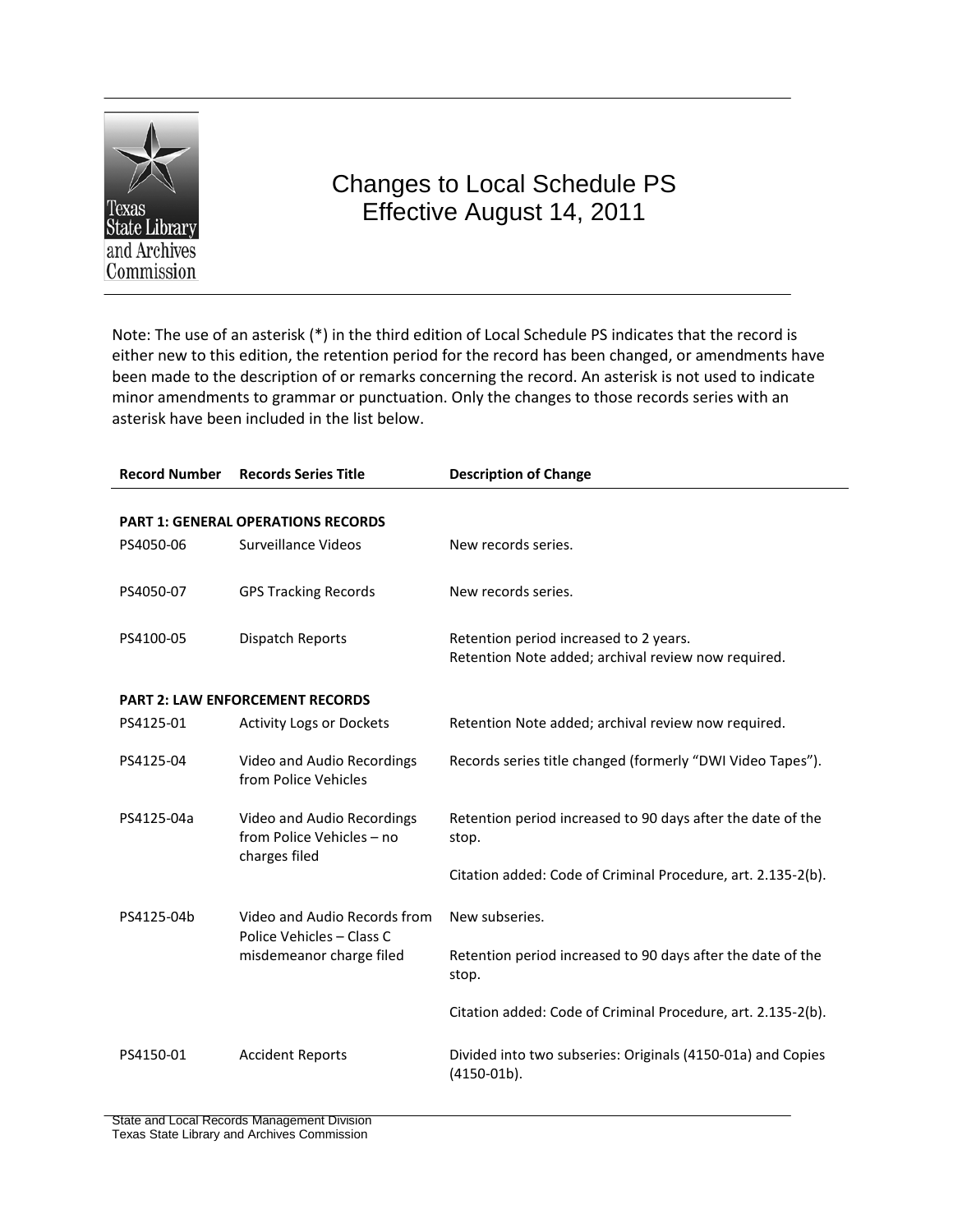

# Changes to Local Schedule PS Effective August 14, 2011

Note: The use of an asterisk (\*) in the third edition of Local Schedule PS indicates that the record is either new to this edition, the retention period for the record has been changed, or amendments have been made to the description of or remarks concerning the record. An asterisk is not used to indicate minor amendments to grammar or punctuation. Only the changes to those records series with an asterisk have been included in the list below.

| <b>Record Number</b> | <b>Records Series Title</b>                | <b>Description of Change</b>                                 |
|----------------------|--------------------------------------------|--------------------------------------------------------------|
|                      |                                            |                                                              |
|                      | <b>PART 1: GENERAL OPERATIONS RECORDS</b>  |                                                              |
| PS4050-06            | Surveillance Videos                        | New records series.                                          |
|                      |                                            |                                                              |
| PS4050-07            | <b>GPS Tracking Records</b>                | New records series.                                          |
|                      |                                            |                                                              |
| PS4100-05            | Dispatch Reports                           | Retention period increased to 2 years.                       |
|                      |                                            | Retention Note added; archival review now required.          |
|                      |                                            |                                                              |
|                      | <b>PART 2: LAW ENFORCEMENT RECORDS</b>     |                                                              |
| PS4125-01            | <b>Activity Logs or Dockets</b>            | Retention Note added; archival review now required.          |
| PS4125-04            | Video and Audio Recordings                 | Records series title changed (formerly "DWI Video Tapes").   |
|                      | from Police Vehicles                       |                                                              |
|                      |                                            |                                                              |
| PS4125-04a           | Video and Audio Recordings                 | Retention period increased to 90 days after the date of the  |
|                      | from Police Vehicles - no<br>charges filed | stop.                                                        |
|                      |                                            | Citation added: Code of Criminal Procedure, art. 2.135-2(b). |
|                      |                                            |                                                              |
| PS4125-04b           | Video and Audio Records from               | New subseries.                                               |
|                      | Police Vehicles - Class C                  |                                                              |
|                      | misdemeanor charge filed                   | Retention period increased to 90 days after the date of the  |
|                      |                                            | stop.                                                        |
|                      |                                            | Citation added: Code of Criminal Procedure, art. 2.135-2(b). |
|                      |                                            |                                                              |
| PS4150-01            | <b>Accident Reports</b>                    | Divided into two subseries: Originals (4150-01a) and Copies  |
|                      |                                            | $(4150-01b).$                                                |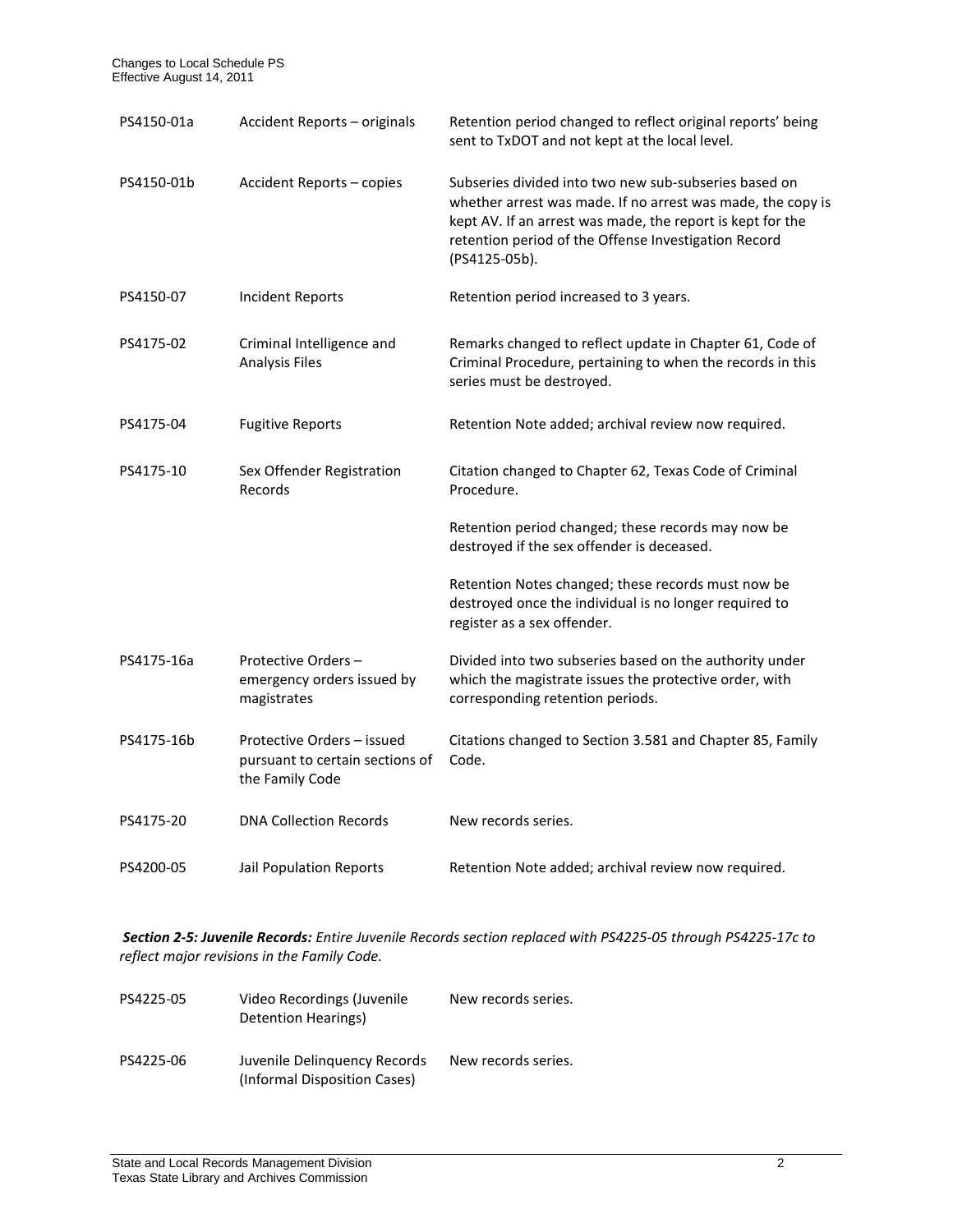| PS4150-01a | Accident Reports - originals                                                     | Retention period changed to reflect original reports' being<br>sent to TxDOT and not kept at the local level.                                                                                                                                               |
|------------|----------------------------------------------------------------------------------|-------------------------------------------------------------------------------------------------------------------------------------------------------------------------------------------------------------------------------------------------------------|
| PS4150-01b | Accident Reports - copies                                                        | Subseries divided into two new sub-subseries based on<br>whether arrest was made. If no arrest was made, the copy is<br>kept AV. If an arrest was made, the report is kept for the<br>retention period of the Offense Investigation Record<br>(PS4125-05b). |
| PS4150-07  | <b>Incident Reports</b>                                                          | Retention period increased to 3 years.                                                                                                                                                                                                                      |
| PS4175-02  | Criminal Intelligence and<br><b>Analysis Files</b>                               | Remarks changed to reflect update in Chapter 61, Code of<br>Criminal Procedure, pertaining to when the records in this<br>series must be destroyed.                                                                                                         |
| PS4175-04  | <b>Fugitive Reports</b>                                                          | Retention Note added; archival review now required.                                                                                                                                                                                                         |
| PS4175-10  | Sex Offender Registration<br>Records                                             | Citation changed to Chapter 62, Texas Code of Criminal<br>Procedure.                                                                                                                                                                                        |
|            |                                                                                  | Retention period changed; these records may now be<br>destroyed if the sex offender is deceased.                                                                                                                                                            |
|            |                                                                                  | Retention Notes changed; these records must now be<br>destroyed once the individual is no longer required to<br>register as a sex offender.                                                                                                                 |
| PS4175-16a | Protective Orders-<br>emergency orders issued by<br>magistrates                  | Divided into two subseries based on the authority under<br>which the magistrate issues the protective order, with<br>corresponding retention periods.                                                                                                       |
| PS4175-16b | Protective Orders - issued<br>pursuant to certain sections of<br>the Family Code | Citations changed to Section 3.581 and Chapter 85, Family<br>Code.                                                                                                                                                                                          |
| PS4175-20  | <b>DNA Collection Records</b>                                                    | New records series.                                                                                                                                                                                                                                         |
| PS4200-05  | Jail Population Reports                                                          | Retention Note added; archival review now required.                                                                                                                                                                                                         |

*Section 2-5: Juvenile Records: Entire Juvenile Records section replaced with PS4225-05 through PS4225-17c to reflect major revisions in the Family Code.*

| PS4225-05 | Video Recordings (Juvenile<br>Detention Hearings)            | New records series. |
|-----------|--------------------------------------------------------------|---------------------|
| PS4225-06 | Juvenile Delinguency Records<br>(Informal Disposition Cases) | New records series. |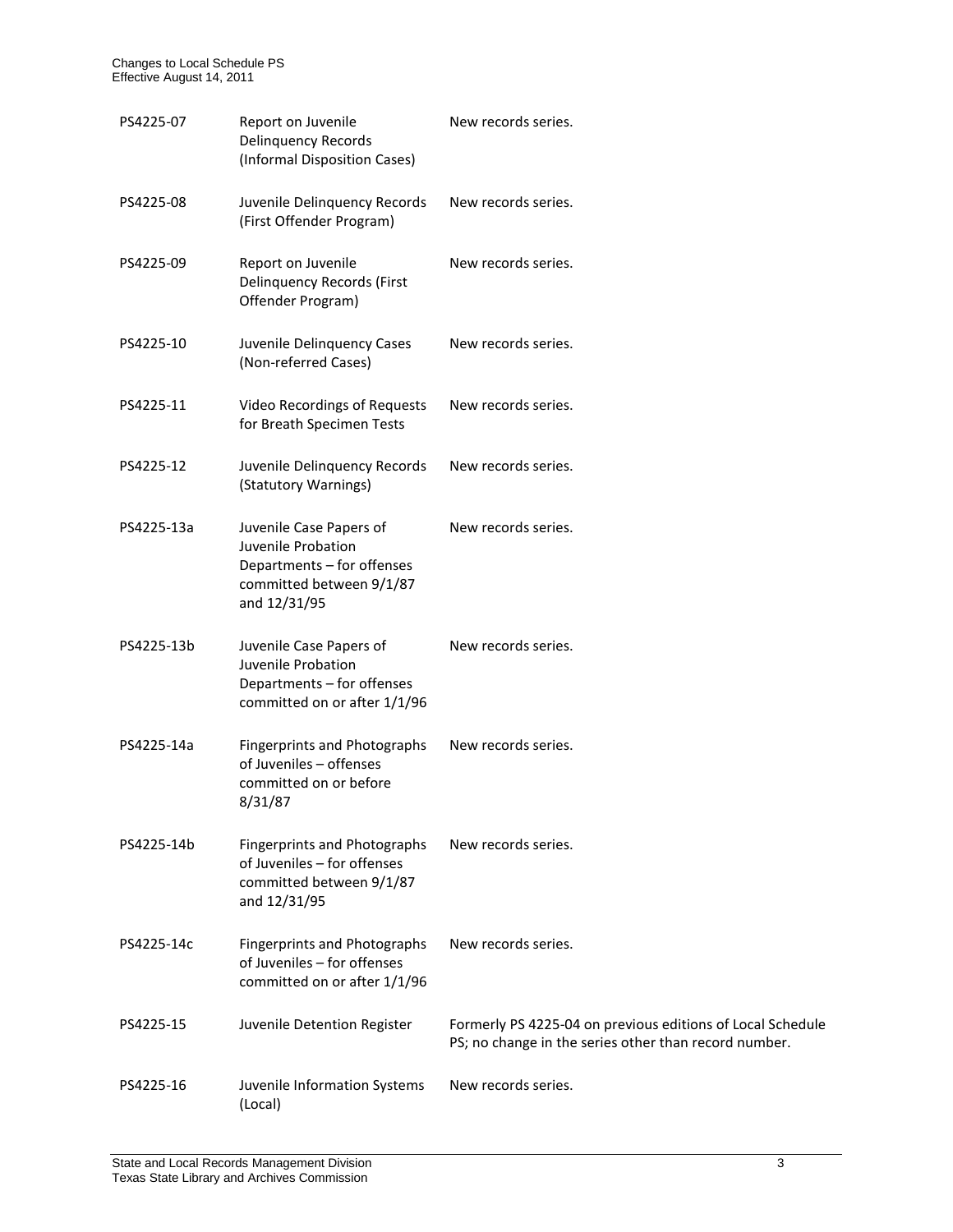| PS4225-07  | Report on Juvenile<br><b>Delinquency Records</b><br>(Informal Disposition Cases)                                        | New records series.                                                                                                 |
|------------|-------------------------------------------------------------------------------------------------------------------------|---------------------------------------------------------------------------------------------------------------------|
| PS4225-08  | Juvenile Delinquency Records<br>(First Offender Program)                                                                | New records series.                                                                                                 |
| PS4225-09  | Report on Juvenile<br><b>Delinquency Records (First</b><br>Offender Program)                                            | New records series.                                                                                                 |
| PS4225-10  | Juvenile Delinquency Cases<br>(Non-referred Cases)                                                                      | New records series.                                                                                                 |
| PS4225-11  | Video Recordings of Requests<br>for Breath Specimen Tests                                                               | New records series.                                                                                                 |
| PS4225-12  | Juvenile Delinquency Records<br>(Statutory Warnings)                                                                    | New records series.                                                                                                 |
| PS4225-13a | Juvenile Case Papers of<br>Juvenile Probation<br>Departments - for offenses<br>committed between 9/1/87<br>and 12/31/95 | New records series.                                                                                                 |
| PS4225-13b | Juvenile Case Papers of<br>Juvenile Probation<br>Departments - for offenses<br>committed on or after 1/1/96             | New records series.                                                                                                 |
| PS4225-14a | <b>Fingerprints and Photographs</b><br>of Juveniles - offenses<br>committed on or before<br>8/31/87                     | New records series.                                                                                                 |
| PS4225-14b | <b>Fingerprints and Photographs</b><br>of Juveniles - for offenses<br>committed between 9/1/87<br>and 12/31/95          | New records series.                                                                                                 |
| PS4225-14c | <b>Fingerprints and Photographs</b><br>of Juveniles - for offenses<br>committed on or after 1/1/96                      | New records series.                                                                                                 |
| PS4225-15  | Juvenile Detention Register                                                                                             | Formerly PS 4225-04 on previous editions of Local Schedule<br>PS; no change in the series other than record number. |
| PS4225-16  | Juvenile Information Systems<br>(Local)                                                                                 | New records series.                                                                                                 |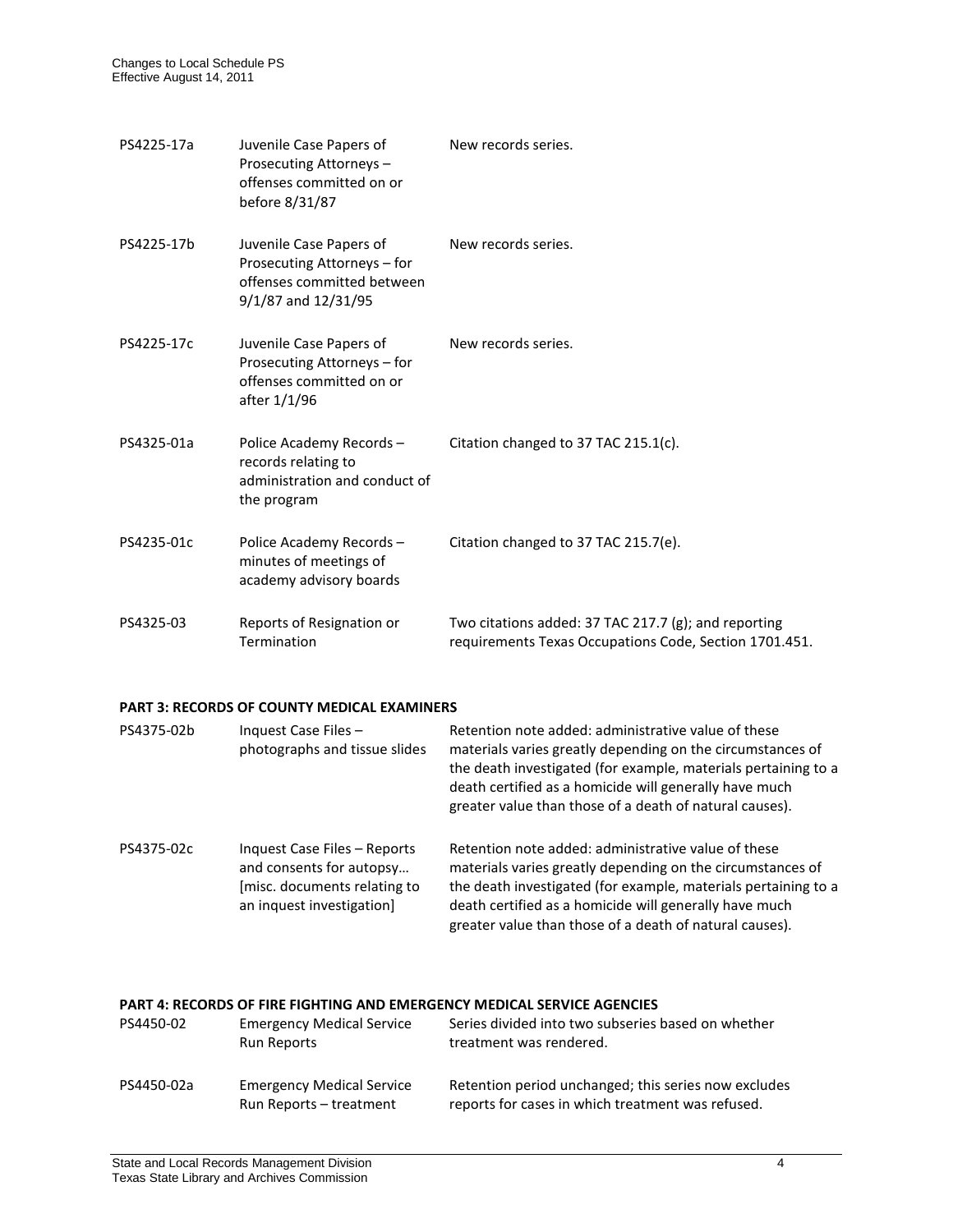| PS4225-17a | Juvenile Case Papers of<br>Prosecuting Attorneys-<br>offenses committed on or<br>before 8/31/87             | New records series.                                                                                            |
|------------|-------------------------------------------------------------------------------------------------------------|----------------------------------------------------------------------------------------------------------------|
| PS4225-17b | Juvenile Case Papers of<br>Prosecuting Attorneys - for<br>offenses committed between<br>9/1/87 and 12/31/95 | New records series.                                                                                            |
| PS4225-17c | Juvenile Case Papers of<br>Prosecuting Attorneys - for<br>offenses committed on or<br>after 1/1/96          | New records series.                                                                                            |
| PS4325-01a | Police Academy Records-<br>records relating to<br>administration and conduct of<br>the program              | Citation changed to 37 TAC 215.1(c).                                                                           |
| PS4235-01c | Police Academy Records-<br>minutes of meetings of<br>academy advisory boards                                | Citation changed to 37 TAC 215.7(e).                                                                           |
| PS4325-03  | Reports of Resignation or<br>Termination                                                                    | Two citations added: 37 TAC 217.7 (g); and reporting<br>requirements Texas Occupations Code, Section 1701.451. |

## **PART 3: RECORDS OF COUNTY MEDICAL EXAMINERS**

| PS4375-02b | Inquest Case Files -<br>photographs and tissue slides                                                                 | Retention note added: administrative value of these<br>materials varies greatly depending on the circumstances of<br>the death investigated (for example, materials pertaining to a<br>death certified as a homicide will generally have much<br>greater value than those of a death of natural causes). |
|------------|-----------------------------------------------------------------------------------------------------------------------|----------------------------------------------------------------------------------------------------------------------------------------------------------------------------------------------------------------------------------------------------------------------------------------------------------|
| PS4375-02c | Inquest Case Files - Reports<br>and consents for autopsy<br>[misc. documents relating to<br>an inquest investigation] | Retention note added: administrative value of these<br>materials varies greatly depending on the circumstances of<br>the death investigated (for example, materials pertaining to a<br>death certified as a homicide will generally have much<br>greater value than those of a death of natural causes). |

## **PART 4: RECORDS OF FIRE FIGHTING AND EMERGENCY MEDICAL SERVICE AGENCIES**

| PS4450-02  | <b>Emergency Medical Service</b><br>Run Reports             | Series divided into two subseries based on whether<br>treatment was rendered.                             |
|------------|-------------------------------------------------------------|-----------------------------------------------------------------------------------------------------------|
| PS4450-02a | <b>Emergency Medical Service</b><br>Run Reports – treatment | Retention period unchanged; this series now excludes<br>reports for cases in which treatment was refused. |